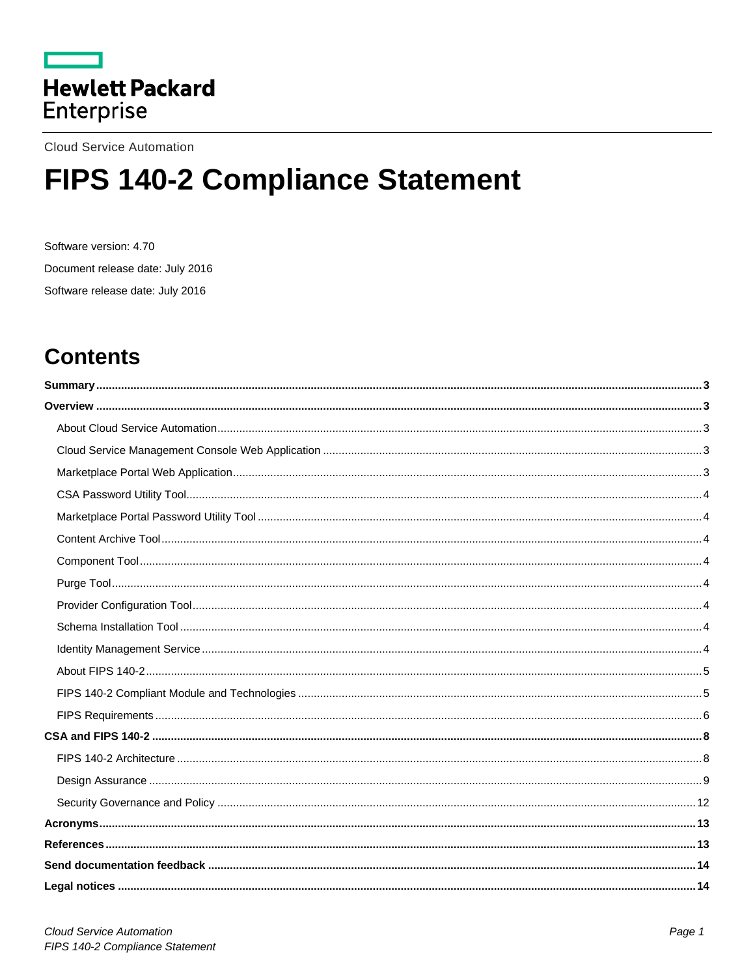

**Cloud Service Automation** 

# FIPS 140-2 Compliance Statement

Software version: 4.70 Document release date: July 2016 Software release date: July 2016

## **Contents**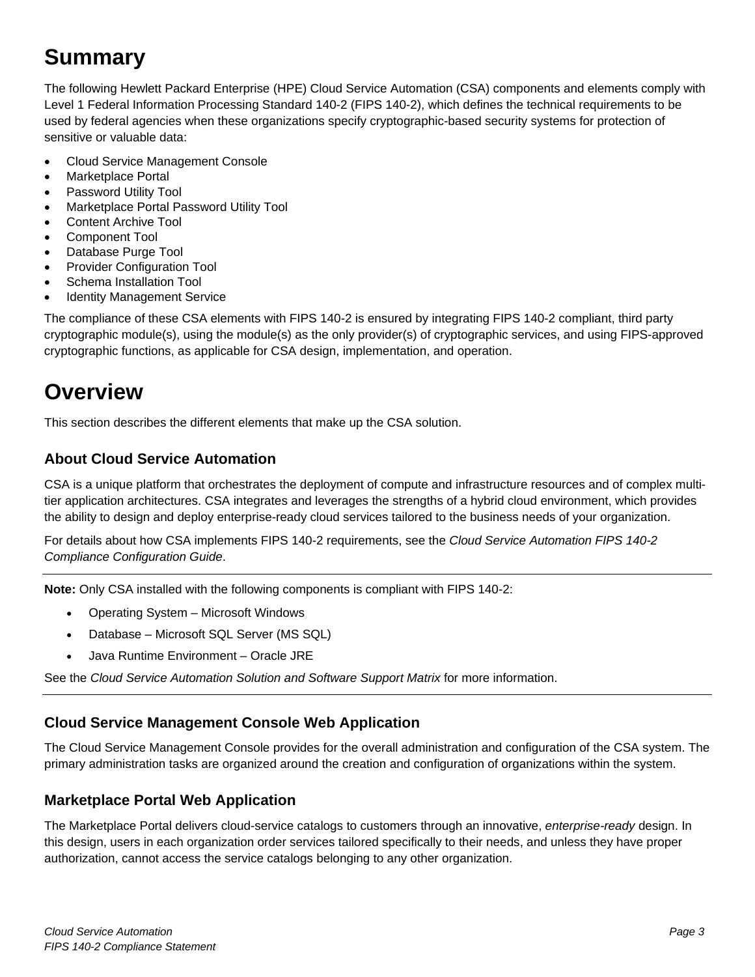## <span id="page-2-0"></span>**Summary**

The following Hewlett Packard Enterprise (HPE) Cloud Service Automation (CSA) components and elements comply with Level 1 Federal Information Processing Standard 140-2 (FIPS 140-2), which defines the technical requirements to be used by federal agencies when these organizations specify cryptographic-based security systems for protection of sensitive or valuable data:

- Cloud Service Management Console
- Marketplace Portal
- Password Utility Tool
- Marketplace Portal Password Utility Tool
- Content Archive Tool
- Component Tool
- Database Purge Tool
- **Provider Configuration Tool**
- Schema Installation Tool
- **Identity Management Service**

The compliance of these CSA elements with FIPS 140-2 is ensured by integrating FIPS 140-2 compliant, third party cryptographic module(s), using the module(s) as the only provider(s) of cryptographic services, and using FIPS-approved cryptographic functions, as applicable for CSA design, implementation, and operation.

## <span id="page-2-1"></span>**Overview**

This section describes the different elements that make up the CSA solution.

## <span id="page-2-2"></span>**About Cloud Service Automation**

CSA is a unique platform that orchestrates the deployment of compute and infrastructure resources and of complex multitier application architectures. CSA integrates and leverages the strengths of a hybrid cloud environment, which provides the ability to design and deploy enterprise-ready cloud services tailored to the business needs of your organization.

For details about how CSA implements FIPS 140-2 requirements, see the *Cloud Service Automation FIPS 140-2 Compliance Configuration Guide*.

**Note:** Only CSA installed with the following components is compliant with FIPS 140-2:

- Operating System Microsoft Windows
- Database Microsoft SQL Server (MS SQL)
- Java Runtime Environment Oracle JRE

See the *Cloud Service Automation Solution and Software Support Matrix* for more information.

## <span id="page-2-3"></span>**Cloud Service Management Console Web Application**

The Cloud Service Management Console provides for the overall administration and configuration of the CSA system. The primary administration tasks are organized around the creation and configuration of organizations within the system.

## <span id="page-2-4"></span>**Marketplace Portal Web Application**

The Marketplace Portal delivers cloud-service catalogs to customers through an innovative, *enterprise-ready* design. In this design, users in each organization order services tailored specifically to their needs, and unless they have proper authorization, cannot access the service catalogs belonging to any other organization.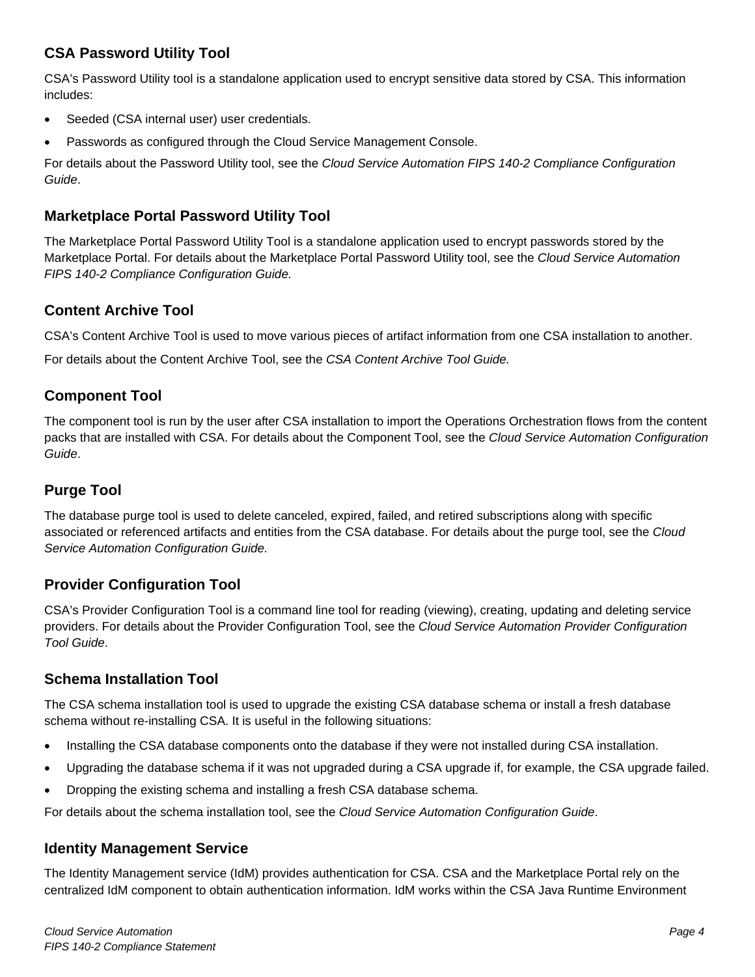## <span id="page-3-0"></span>**CSA Password Utility Tool**

CSA's Password Utility tool is a standalone application used to encrypt sensitive data stored by CSA. This information includes:

- Seeded (CSA internal user) user credentials.
- Passwords as configured through the Cloud Service Management Console.

For details about the Password Utility tool, see the *Cloud Service Automation FIPS 140-2 Compliance Configuration Guide*.

## <span id="page-3-1"></span>**Marketplace Portal Password Utility Tool**

The Marketplace Portal Password Utility Tool is a standalone application used to encrypt passwords stored by the Marketplace Portal. For details about the Marketplace Portal Password Utility tool, see the *Cloud Service Automation FIPS 140-2 Compliance Configuration Guide.*

## <span id="page-3-2"></span>**Content Archive Tool**

CSA's Content Archive Tool is used to move various pieces of artifact information from one CSA installation to another.

For details about the Content Archive Tool, see the *CSA Content Archive Tool Guide.*

## <span id="page-3-3"></span>**Component Tool**

The component tool is run by the user after CSA installation to import the Operations Orchestration flows from the content packs that are installed with CSA. For details about the Component Tool, see the *Cloud Service Automation Configuration Guide*.

## <span id="page-3-4"></span>**Purge Tool**

The database purge tool is used to delete canceled, expired, failed, and retired subscriptions along with specific associated or referenced artifacts and entities from the CSA database. For details about the purge tool, see the *Cloud Service Automation Configuration Guide.*

## <span id="page-3-5"></span>**Provider Configuration Tool**

CSA's Provider Configuration Tool is a command line tool for reading (viewing), creating, updating and deleting service providers. For details about the Provider Configuration Tool, see the *Cloud Service Automation Provider Configuration Tool Guide*.

## <span id="page-3-6"></span>**Schema Installation Tool**

The CSA schema installation tool is used to upgrade the existing CSA database schema or install a fresh database schema without re-installing CSA. It is useful in the following situations:

- Installing the CSA database components onto the database if they were not installed during CSA installation.
- Upgrading the database schema if it was not upgraded during a CSA upgrade if, for example, the CSA upgrade failed.
- Dropping the existing schema and installing a fresh CSA database schema.

For details about the schema installation tool, see the *Cloud Service Automation Configuration Guide*.

## <span id="page-3-7"></span>**Identity Management Service**

The Identity Management service (IdM) provides authentication for CSA. CSA and the Marketplace Portal rely on the centralized IdM component to obtain authentication information. IdM works within the CSA Java Runtime Environment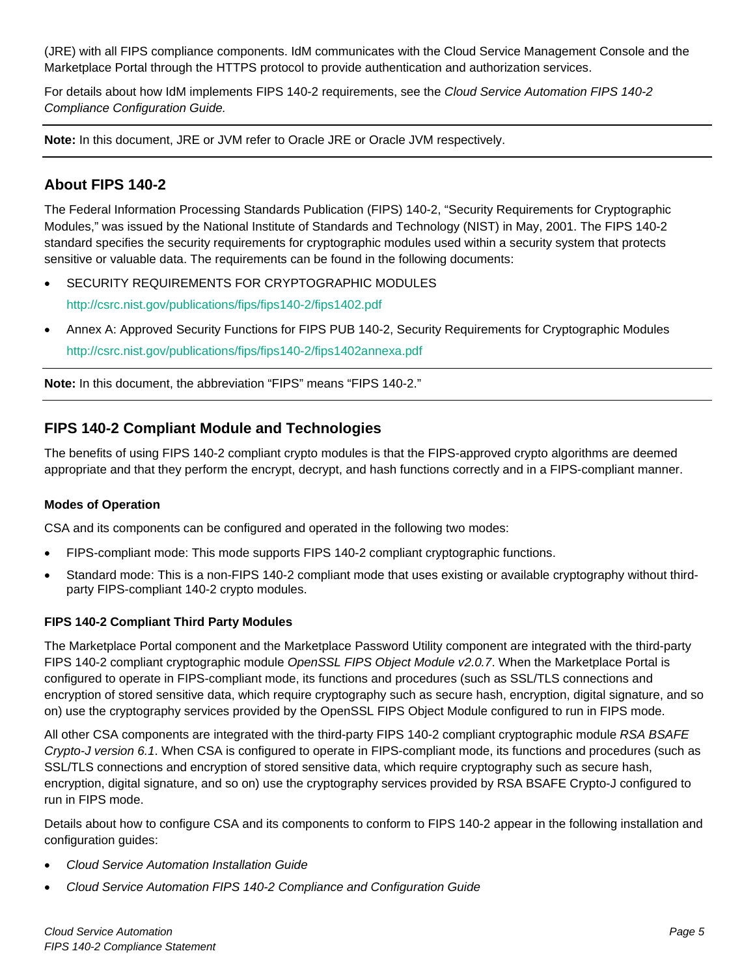(JRE) with all FIPS compliance components. IdM communicates with the Cloud Service Management Console and the Marketplace Portal through the HTTPS protocol to provide authentication and authorization services.

For details about how IdM implements FIPS 140-2 requirements, see the *Cloud Service Automation FIPS 140-2 Compliance Configuration Guide.*

**Note:** In this document, JRE or JVM refer to Oracle JRE or Oracle JVM respectively.

## <span id="page-4-0"></span>**About FIPS 140-2**

The Federal Information Processing Standards Publication (FIPS) 140-2, "Security Requirements for Cryptographic Modules," was issued by the National Institute of Standards and Technology (NIST) in May, 2001. The FIPS 140-2 standard specifies the security requirements for cryptographic modules used within a security system that protects sensitive or valuable data. The requirements can be found in the following documents:

- SECURITY REQUIREMENTS FOR CRYPTOGRAPHIC MODULES <http://csrc.nist.gov/publications/fips/fips140-2/fips1402.pdf>
- Annex A: Approved Security Functions for FIPS PUB 140-2, Security Requirements for Cryptographic Modules <http://csrc.nist.gov/publications/fips/fips140-2/fips1402annexa.pdf>

**Note:** In this document, the abbreviation "FIPS" means "FIPS 140-2."

## <span id="page-4-1"></span>**FIPS 140-2 Compliant Module and Technologies**

The benefits of using FIPS 140-2 compliant crypto modules is that the FIPS-approved crypto algorithms are deemed appropriate and that they perform the encrypt, decrypt, and hash functions correctly and in a FIPS-compliant manner.

#### **Modes of Operation**

CSA and its components can be configured and operated in the following two modes:

- FIPS-compliant mode: This mode supports FIPS 140-2 compliant cryptographic functions.
- Standard mode: This is a non-FIPS 140-2 compliant mode that uses existing or available cryptography without thirdparty FIPS-compliant 140-2 crypto modules.

#### **FIPS 140-2 Compliant Third Party Modules**

The Marketplace Portal component and the Marketplace Password Utility component are integrated with the third-party FIPS 140-2 compliant cryptographic module *OpenSSL FIPS Object Module v2.0.7*. When the Marketplace Portal is configured to operate in FIPS-compliant mode, its functions and procedures (such as SSL/TLS connections and encryption of stored sensitive data, which require cryptography such as secure hash, encryption, digital signature, and so on) use the cryptography services provided by the OpenSSL FIPS Object Module configured to run in FIPS mode.

All other CSA components are integrated with the third-party FIPS 140-2 compliant cryptographic module *RSA BSAFE Crypto-J version 6.1*. When CSA is configured to operate in FIPS-compliant mode, its functions and procedures (such as SSL/TLS connections and encryption of stored sensitive data, which require cryptography such as secure hash, encryption, digital signature, and so on) use the cryptography services provided by RSA BSAFE Crypto-J configured to run in FIPS mode.

Details about how to configure CSA and its components to conform to FIPS 140-2 appear in the following installation and configuration guides:

- *Cloud Service Automation Installation Guide*
- *Cloud Service Automation FIPS 140-2 Compliance and Configuration Guide*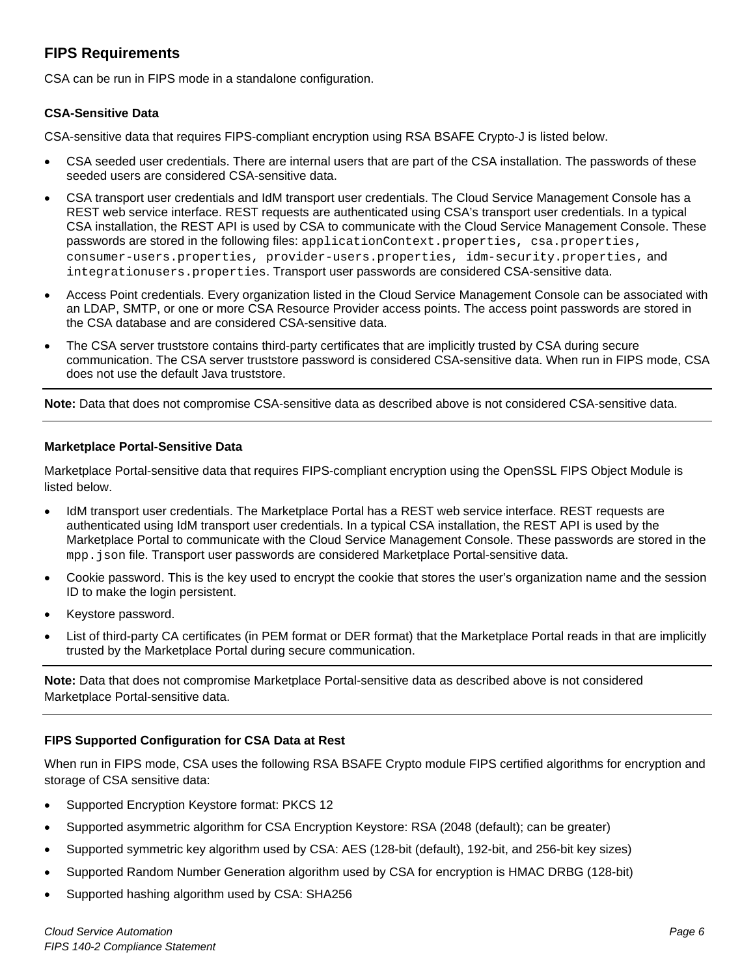## <span id="page-5-0"></span>**FIPS Requirements**

CSA can be run in FIPS mode in a standalone configuration.

#### **CSA-Sensitive Data**

CSA-sensitive data that requires FIPS-compliant encryption using RSA BSAFE Crypto-J is listed below.

- CSA seeded user credentials. There are internal users that are part of the CSA installation. The passwords of these seeded users are considered CSA-sensitive data.
- CSA transport user credentials and IdM transport user credentials. The Cloud Service Management Console has a REST web service interface. REST requests are authenticated using CSA's transport user credentials. In a typical CSA installation, the REST API is used by CSA to communicate with the Cloud Service Management Console. These passwords are stored in the following files: applicationContext.properties, csa.properties, consumer-users.properties, provider-users.properties, idm-security.properties, and integrationusers.properties. Transport user passwords are considered CSA-sensitive data.
- Access Point credentials. Every organization listed in the Cloud Service Management Console can be associated with an LDAP, SMTP, or one or more CSA Resource Provider access points. The access point passwords are stored in the CSA database and are considered CSA-sensitive data.
- The CSA server truststore contains third-party certificates that are implicitly trusted by CSA during secure communication. The CSA server truststore password is considered CSA-sensitive data. When run in FIPS mode, CSA does not use the default Java truststore.

**Note:** Data that does not compromise CSA-sensitive data as described above is not considered CSA-sensitive data.

#### **Marketplace Portal-Sensitive Data**

Marketplace Portal-sensitive data that requires FIPS-compliant encryption using the OpenSSL FIPS Object Module is listed below.

- IdM transport user credentials. The Marketplace Portal has a REST web service interface. REST requests are authenticated using IdM transport user credentials. In a typical CSA installation, the REST API is used by the Marketplace Portal to communicate with the Cloud Service Management Console. These passwords are stored in the mpp. json file. Transport user passwords are considered Marketplace Portal-sensitive data.
- Cookie password. This is the key used to encrypt the cookie that stores the user's organization name and the session ID to make the login persistent.
- Keystore password.
- List of third-party CA certificates (in PEM format or DER format) that the Marketplace Portal reads in that are implicitly trusted by the Marketplace Portal during secure communication.

**Note:** Data that does not compromise Marketplace Portal-sensitive data as described above is not considered Marketplace Portal-sensitive data.

#### **FIPS Supported Configuration for CSA Data at Rest**

When run in FIPS mode, CSA uses the following RSA BSAFE Crypto module FIPS certified algorithms for encryption and storage of CSA sensitive data:

- Supported Encryption Keystore format: PKCS 12
- Supported asymmetric algorithm for CSA Encryption Keystore: RSA (2048 (default); can be greater)
- Supported symmetric key algorithm used by CSA: AES (128-bit (default), 192-bit, and 256-bit key sizes)
- Supported Random Number Generation algorithm used by CSA for encryption is HMAC DRBG (128-bit)
- Supported hashing algorithm used by CSA: SHA256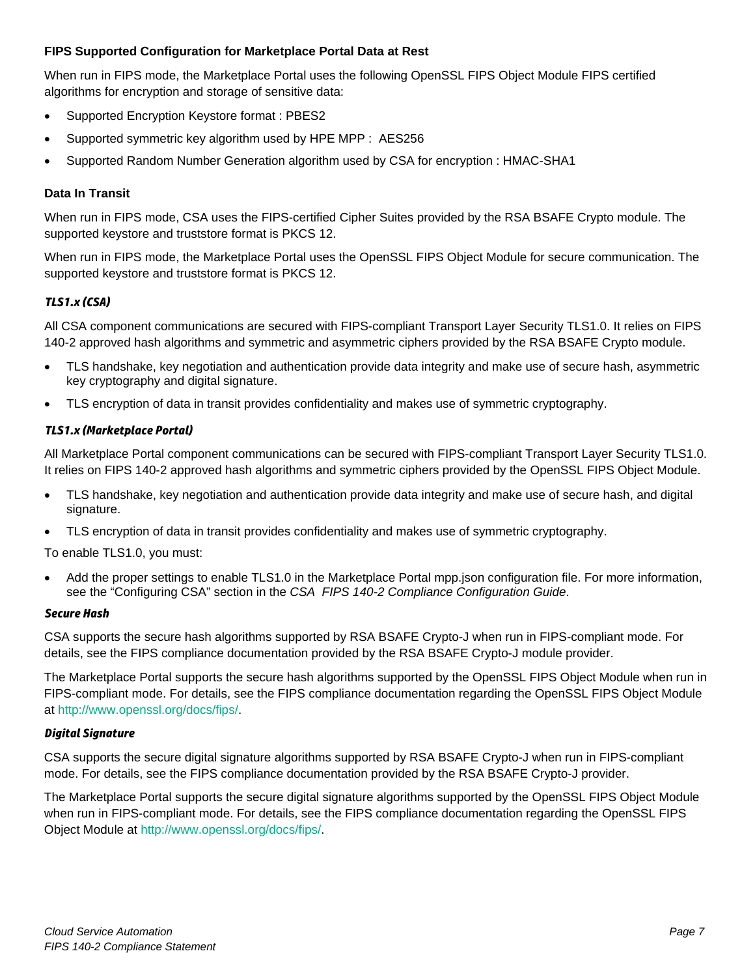#### **FIPS Supported Configuration for Marketplace Portal Data at Rest**

When run in FIPS mode, the Marketplace Portal uses the following OpenSSL FIPS Object Module FIPS certified algorithms for encryption and storage of sensitive data:

- Supported Encryption Keystore format : PBES2
- Supported symmetric key algorithm used by HPE MPP : AES256
- Supported Random Number Generation algorithm used by CSA for encryption : HMAC-SHA1

#### **Data In Transit**

When run in FIPS mode, CSA uses the FIPS-certified Cipher Suites provided by the RSA BSAFE Crypto module. The supported keystore and truststore format is PKCS 12.

When run in FIPS mode, the Marketplace Portal uses the OpenSSL FIPS Object Module for secure communication. The supported keystore and truststore format is PKCS 12.

#### *TLS1.x (CSA)*

All CSA component communications are secured with FIPS-compliant Transport Layer Security TLS1.0. It relies on FIPS 140-2 approved hash algorithms and symmetric and asymmetric ciphers provided by the RSA BSAFE Crypto module.

- TLS handshake, key negotiation and authentication provide data integrity and make use of secure hash, asymmetric key cryptography and digital signature.
- TLS encryption of data in transit provides confidentiality and makes use of symmetric cryptography.

#### *TLS1.x (Marketplace Portal)*

All Marketplace Portal component communications can be secured with FIPS-compliant Transport Layer Security TLS1.0. It relies on FIPS 140-2 approved hash algorithms and symmetric ciphers provided by the OpenSSL FIPS Object Module.

- TLS handshake, key negotiation and authentication provide data integrity and make use of secure hash, and digital signature.
- TLS encryption of data in transit provides confidentiality and makes use of symmetric cryptography.

To enable TLS1.0, you must:

• Add the proper settings to enable TLS1.0 in the Marketplace Portal mpp.json configuration file. For more information, see the "Configuring CSA" section in the *CSA FIPS 140-2 Compliance Configuration Guide*.

#### *Secure Hash*

CSA supports the secure hash algorithms supported by RSA BSAFE Crypto-J when run in FIPS-compliant mode. For details, see the FIPS compliance documentation provided by the RSA BSAFE Crypto-J module provider.

The Marketplace Portal supports the secure hash algorithms supported by the OpenSSL FIPS Object Module when run in FIPS-compliant mode. For details, see the FIPS compliance documentation regarding the OpenSSL FIPS Object Module at [http://www.openssl.org/docs/fips/.](http://www.openssl.org/docs/fips/)

#### *Digital Signature*

CSA supports the secure digital signature algorithms supported by RSA BSAFE Crypto-J when run in FIPS-compliant mode. For details, see the FIPS compliance documentation provided by the RSA BSAFE Crypto-J provider.

The Marketplace Portal supports the secure digital signature algorithms supported by the OpenSSL FIPS Object Module when run in FIPS-compliant mode. For details, see the FIPS compliance documentation regarding the OpenSSL FIPS Object Module at [http://www.openssl.org/docs/fips/.](http://www.openssl.org/docs/fips/)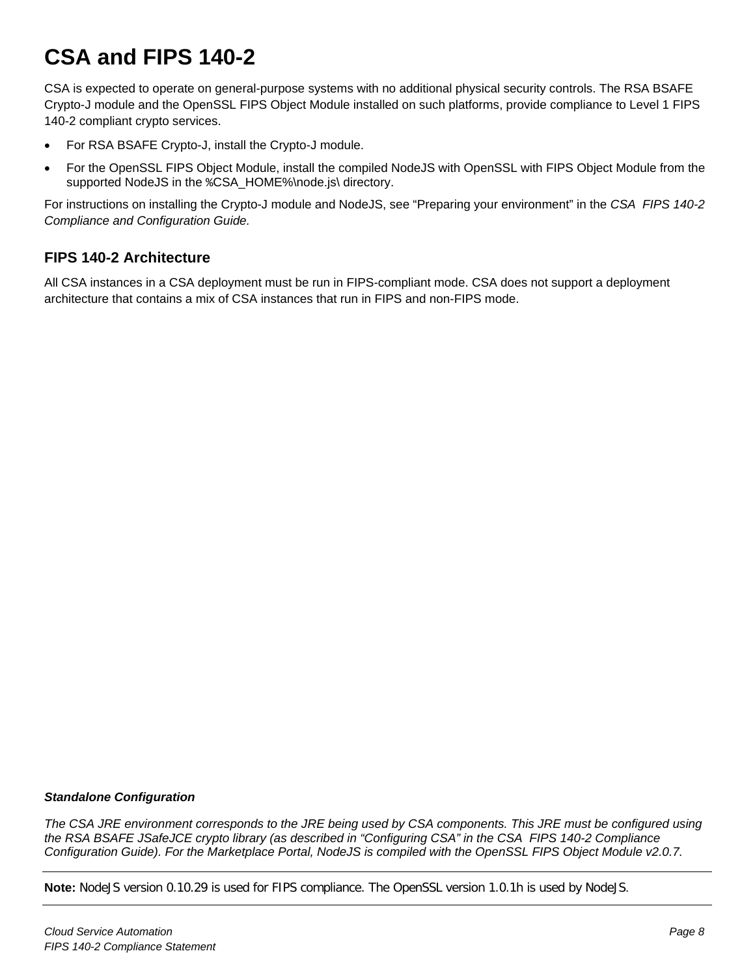## <span id="page-7-0"></span>**CSA and FIPS 140-2**

CSA is expected to operate on general-purpose systems with no additional physical security controls. The RSA BSAFE Crypto-J module and the OpenSSL FIPS Object Module installed on such platforms, provide compliance to Level 1 FIPS 140-2 compliant crypto services.

- For RSA BSAFE Crypto-J, install the Crypto-J module.
- For the OpenSSL FIPS Object Module, install the compiled NodeJS with OpenSSL with FIPS Object Module from the supported NodeJS in the %CSA\_HOME%\node.js\ directory.

For instructions on installing the Crypto-J module and NodeJS, see "Preparing your environment" in the *CSA FIPS 140-2 Compliance and Configuration Guide.*

## <span id="page-7-1"></span>**FIPS 140-2 Architecture**

All CSA instances in a CSA deployment must be run in FIPS-compliant mode. CSA does not support a deployment architecture that contains a mix of CSA instances that run in FIPS and non-FIPS mode.

#### *Standalone Configuration*

*The CSA JRE environment corresponds to the JRE being used by CSA components. This JRE must be configured using the RSA BSAFE JSafeJCE crypto library (as described in "Configuring CSA" in the CSA FIPS 140-2 Compliance Configuration Guide). For the Marketplace Portal, NodeJS is compiled with the OpenSSL FIPS Object Module v2.0.7.*

**Note:** NodeJS version 0.10.29 is used for FIPS compliance. The OpenSSL version 1.0.1h is used by NodeJS.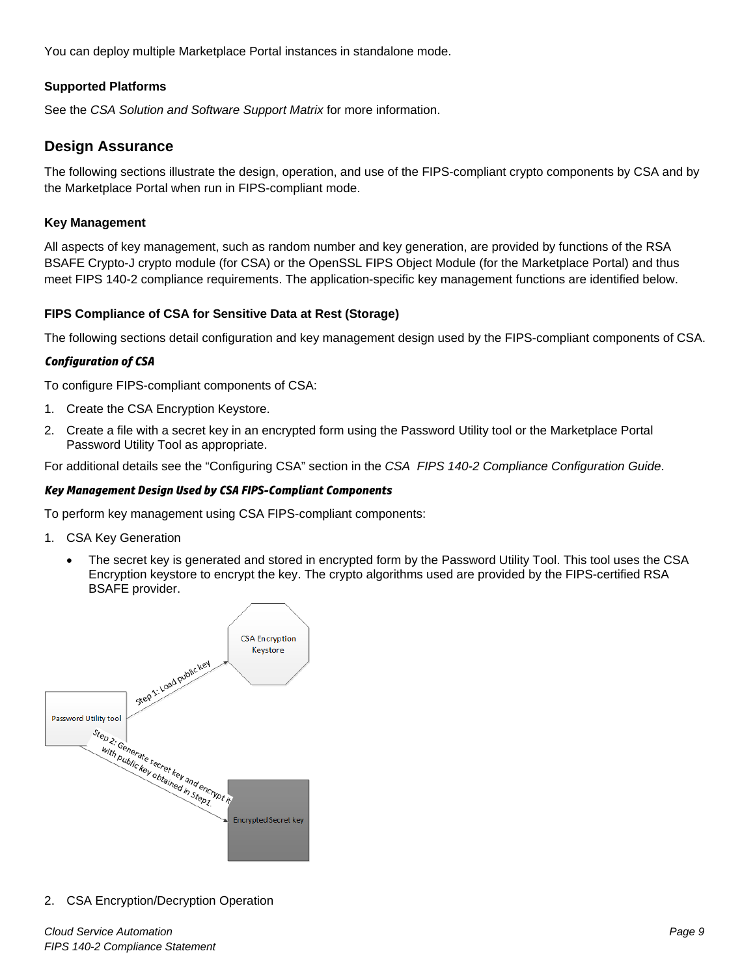You can deploy multiple Marketplace Portal instances in standalone mode.

#### **Supported Platforms**

See the *CSA Solution and Software Support Matrix* for more information.

#### <span id="page-8-0"></span>**Design Assurance**

The following sections illustrate the design, operation, and use of the FIPS-compliant crypto components by CSA and by the Marketplace Portal when run in FIPS-compliant mode.

#### **Key Management**

All aspects of key management, such as random number and key generation, are provided by functions of the RSA BSAFE Crypto-J crypto module (for CSA) or the OpenSSL FIPS Object Module (for the Marketplace Portal) and thus meet FIPS 140-2 compliance requirements. The application-specific key management functions are identified below.

#### **FIPS Compliance of CSA for Sensitive Data at Rest (Storage)**

The following sections detail configuration and key management design used by the FIPS-compliant components of CSA.

#### *Configuration of CSA*

To configure FIPS-compliant components of CSA:

- 1. Create the CSA Encryption Keystore.
- 2. Create a file with a secret key in an encrypted form using the Password Utility tool or the Marketplace Portal Password Utility Tool as appropriate.

For additional details see the "Configuring CSA" section in the *CSA FIPS 140-2 Compliance Configuration Guide*.

#### *Key Management Design Used by CSA FIPS-Compliant Components*

To perform key management using CSA FIPS-compliant components:

- 1. CSA Key Generation
	- The secret key is generated and stored in encrypted form by the Password Utility Tool. This tool uses the CSA Encryption keystore to encrypt the key. The crypto algorithms used are provided by the FIPS-certified RSA BSAFE provider.



2. CSA Encryption/Decryption Operation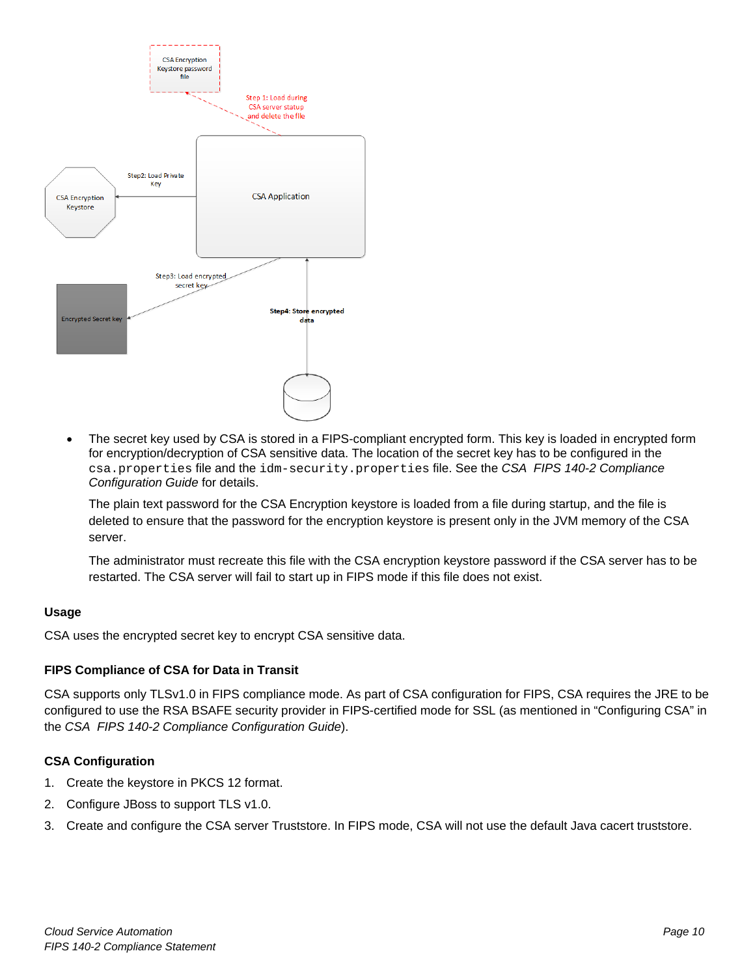

• The secret key used by CSA is stored in a FIPS-compliant encrypted form. This key is loaded in encrypted form for encryption/decryption of CSA sensitive data. The location of the secret key has to be configured in the csa.properties file and the idm-security.properties file. See the *CSA FIPS 140-2 Compliance Configuration Guide* for details.

The plain text password for the CSA Encryption keystore is loaded from a file during startup, and the file is deleted to ensure that the password for the encryption keystore is present only in the JVM memory of the CSA server.

The administrator must recreate this file with the CSA encryption keystore password if the CSA server has to be restarted. The CSA server will fail to start up in FIPS mode if this file does not exist.

#### **Usage**

CSA uses the encrypted secret key to encrypt CSA sensitive data.

#### **FIPS Compliance of CSA for Data in Transit**

CSA supports only TLSv1.0 in FIPS compliance mode. As part of CSA configuration for FIPS, CSA requires the JRE to be configured to use the RSA BSAFE security provider in FIPS-certified mode for SSL (as mentioned in "Configuring CSA" in the *CSA FIPS 140-2 Compliance Configuration Guide*).

#### **CSA Configuration**

- 1. Create the keystore in PKCS 12 format.
- 2. Configure JBoss to support TLS v1.0.
- 3. Create and configure the CSA server Truststore. In FIPS mode, CSA will not use the default Java cacert truststore.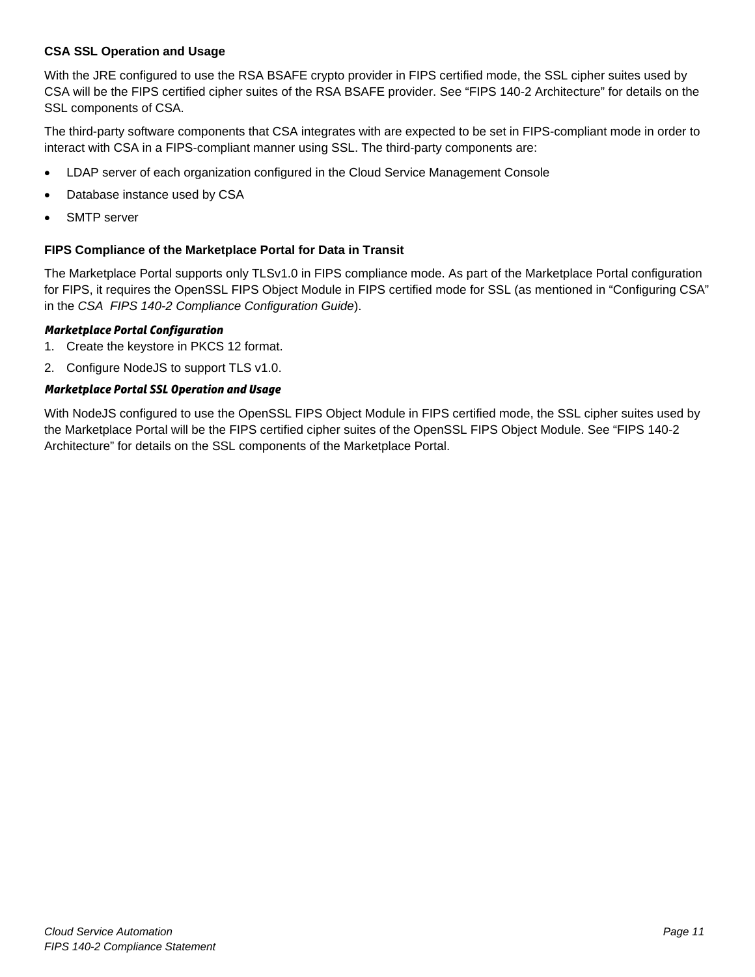#### **CSA SSL Operation and Usage**

With the JRE configured to use the RSA BSAFE crypto provider in FIPS certified mode, the SSL cipher suites used by CSA will be the FIPS certified cipher suites of the RSA BSAFE provider. See ["FIPS 140-2 Architecture"](#page-7-1) for details on the SSL components of CSA.

The third-party software components that CSA integrates with are expected to be set in FIPS-compliant mode in order to interact with CSA in a FIPS-compliant manner using SSL. The third-party components are:

- LDAP server of each organization configured in the Cloud Service Management Console
- Database instance used by CSA
- SMTP server

#### **FIPS Compliance of the Marketplace Portal for Data in Transit**

The Marketplace Portal supports only TLSv1.0 in FIPS compliance mode. As part of the Marketplace Portal configuration for FIPS, it requires the OpenSSL FIPS Object Module in FIPS certified mode for SSL (as mentioned in "Configuring CSA" in the *CSA FIPS 140-2 Compliance Configuration Guide*).

#### *Marketplace Portal Configuration*

- 1. Create the keystore in PKCS 12 format.
- 2. Configure NodeJS to support TLS v1.0.

#### *Marketplace Portal SSL Operation and Usage*

With NodeJS configured to use the OpenSSL FIPS Object Module in FIPS certified mode, the SSL cipher suites used by the Marketplace Portal will be the FIPS certified cipher suites of the OpenSSL FIPS Object Module. See ["FIPS 140-2](#page-7-1)  [Architecture"](#page-7-1) for details on the SSL components of the Marketplace Portal.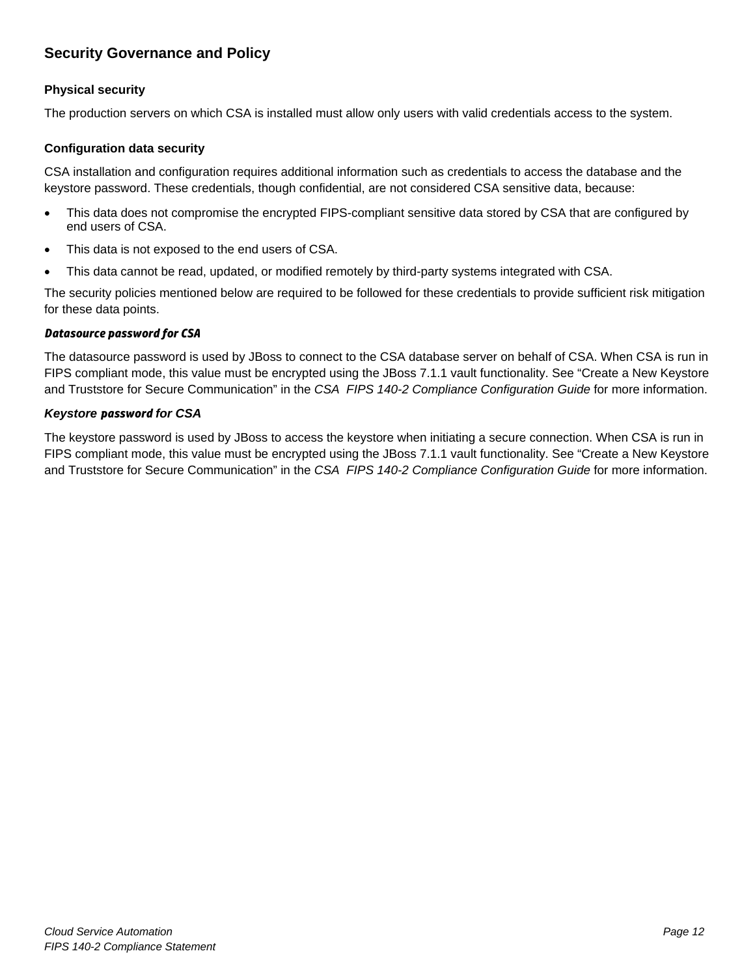## <span id="page-11-0"></span>**Security Governance and Policy**

#### **Physical security**

The production servers on which CSA is installed must allow only users with valid credentials access to the system.

#### **Configuration data security**

CSA installation and configuration requires additional information such as credentials to access the database and the keystore password. These credentials, though confidential, are not considered CSA sensitive data, because:

- This data does not compromise the encrypted FIPS-compliant sensitive data stored by CSA that are configured by end users of CSA.
- This data is not exposed to the end users of CSA.
- This data cannot be read, updated, or modified remotely by third-party systems integrated with CSA.

The security policies mentioned below are required to be followed for these credentials to provide sufficient risk mitigation for these data points.

#### *Datasource password for CSA*

The datasource password is used by JBoss to connect to the CSA database server on behalf of CSA. When CSA is run in FIPS compliant mode, this value must be encrypted using the JBoss 7.1.1 vault functionality. See "Create a New Keystore and Truststore for Secure Communication" in the *CSA FIPS 140-2 Compliance Configuration Guide* for more information.

#### *Keystore password for CSA*

The keystore password is used by JBoss to access the keystore when initiating a secure connection. When CSA is run in FIPS compliant mode, this value must be encrypted using the JBoss 7.1.1 vault functionality. See "Create a New Keystore and Truststore for Secure Communication" in the *CSA FIPS 140-2 Compliance Configuration Guide* for more information.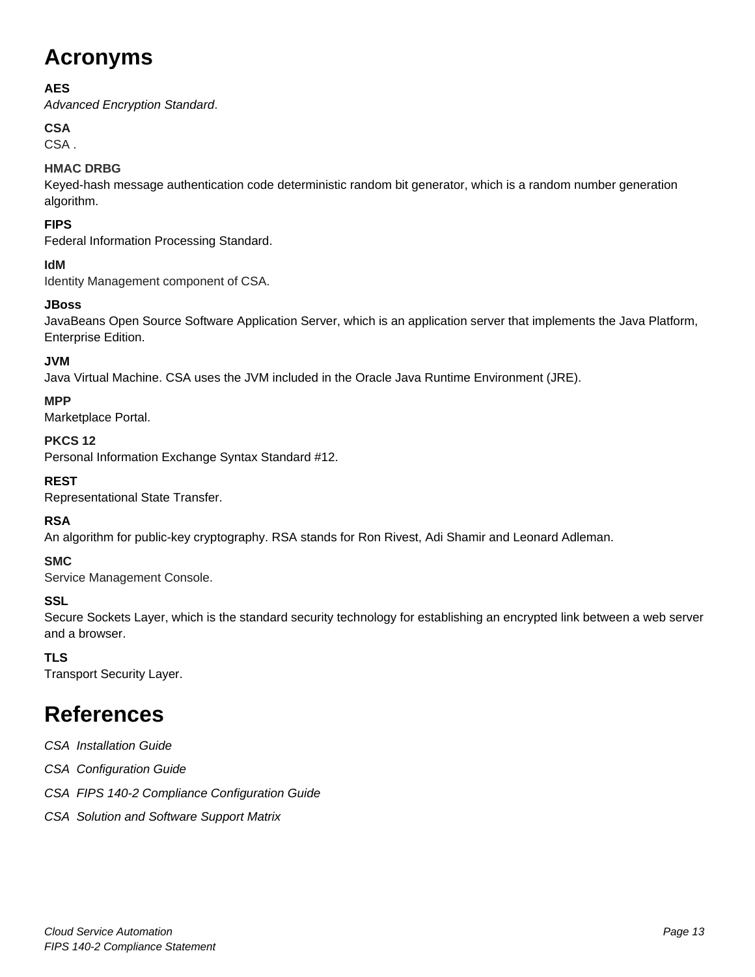## <span id="page-12-0"></span>**Acronyms**

## **AES**

*Advanced Encryption Standard*.

## **CSA**

CSA .

## **HMAC DRBG**

Keyed-hash message authentication code deterministic random bit generator, which is a random number generation algorithm.

## **FIPS**

Federal Information Processing Standard.

## **IdM**

Identity Management component of CSA.

## **JBoss**

JavaBeans Open Source Software Application Server, which is an application server that implements the Java Platform, Enterprise Edition.

## **JVM**

Java Virtual Machine. CSA uses the JVM included in the Oracle Java Runtime Environment (JRE).

## **MPP**

Marketplace Portal.

### **PKCS 12**

Personal Information Exchange Syntax Standard #12.

## **REST**

Representational State Transfer.

## **RSA**

An algorithm for public-key cryptography. RSA stands for Ron Rivest, Adi Shamir and Leonard Adleman.

## **SMC**

Service Management Console.

## **SSL**

Secure Sockets Layer, which is the standard security technology for establishing an encrypted link between a web server and a browser.

## **TLS**

Transport Security Layer.

## <span id="page-12-1"></span>**References**

- *CSA Installation Guide*
- *CSA Configuration Guide*
- *CSA FIPS 140-2 Compliance Configuration Guide*
- *CSA Solution and Software Support Matrix*